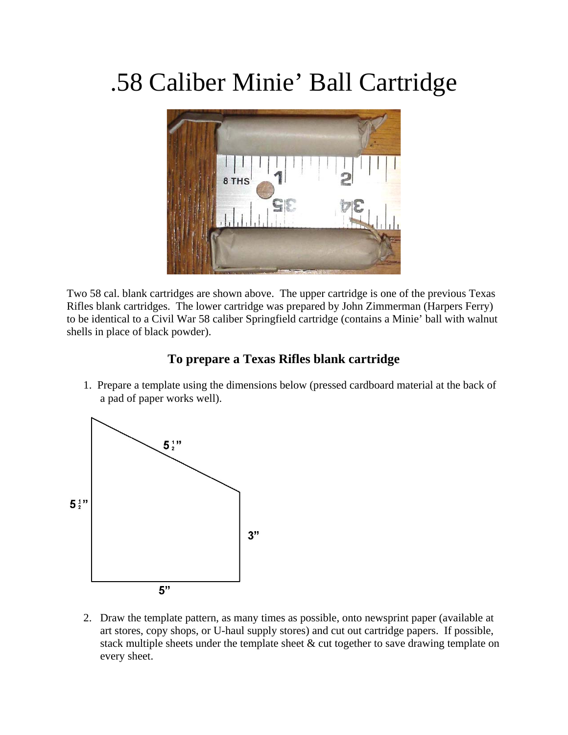## .58 Caliber Minie' Ball Cartridge



Two 58 cal. blank cartridges are shown above. The upper cartridge is one of the previous Texas Rifles blank cartridges. The lower cartridge was prepared by John Zimmerman (Harpers Ferry) to be identical to a Civil War 58 caliber Springfield cartridge (contains a Minie' ball with walnut shells in place of black powder).

## **To prepare a Texas Rifles blank cartridge**

1. Prepare a template using the dimensions below (pressed cardboard material at the back of a pad of paper works well).



2. Draw the template pattern, as many times as possible, onto newsprint paper (available at art stores, copy shops, or U-haul supply stores) and cut out cartridge papers. If possible, stack multiple sheets under the template sheet & cut together to save drawing template on every sheet.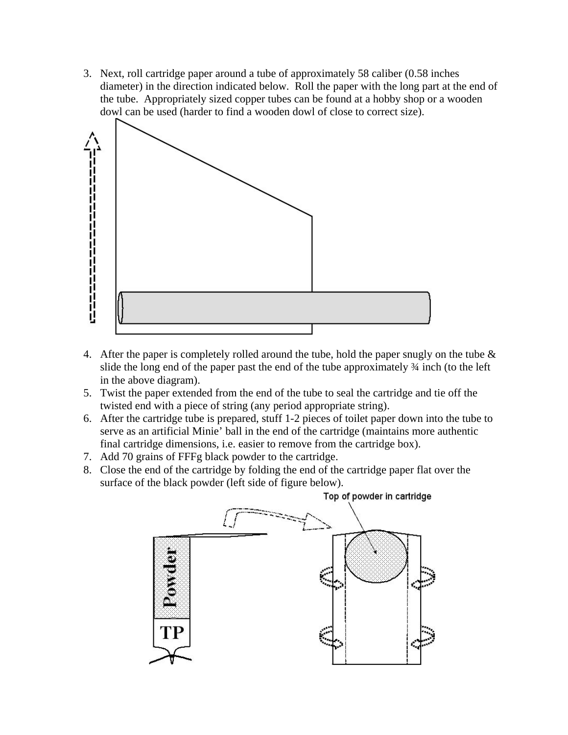3. Next, roll cartridge paper around a tube of approximately 58 caliber (0.58 inches diameter) in the direction indicated below. Roll the paper with the long part at the end of the tube. Appropriately sized copper tubes can be found at a hobby shop or a wooden dowl can be used (harder to find a wooden dowl of close to correct size).



- 4. After the paper is completely rolled around the tube, hold the paper snugly on the tube  $\&$ slide the long end of the paper past the end of the tube approximately ¾ inch (to the left in the above diagram).
- 5. Twist the paper extended from the end of the tube to seal the cartridge and tie off the twisted end with a piece of string (any period appropriate string).
- 6. After the cartridge tube is prepared, stuff 1-2 pieces of toilet paper down into the tube to serve as an artificial Minie' ball in the end of the cartridge (maintains more authentic final cartridge dimensions, i.e. easier to remove from the cartridge box).
- 7. Add 70 grains of FFFg black powder to the cartridge.
- 8. Close the end of the cartridge by folding the end of the cartridge paper flat over the surface of the black powder (left side of figure below).